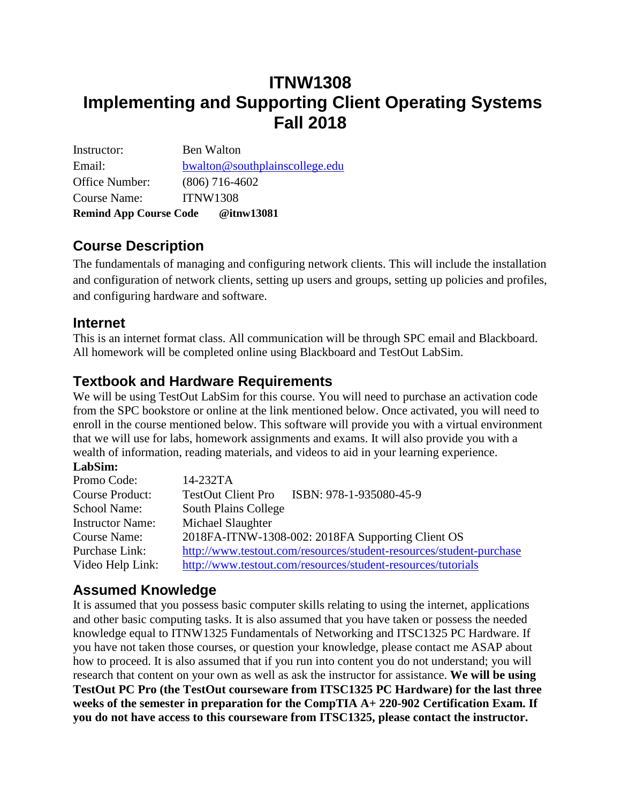# **ITNW1308 Implementing and Supporting Client Operating Systems Fall 2018**

Instructor: Ben Walton Email: [bwalton@southplainscollege.edu](mailto:bwalton@southplainscollege.edu) Office Number: (806) 716-4602 Course Name: ITNW1308 **Remind App Course Code @itnw13081**

## **Course Description**

The fundamentals of managing and configuring network clients. This will include the installation and configuration of network clients, setting up users and groups, setting up policies and profiles, and configuring hardware and software.

#### **Internet**

This is an internet format class. All communication will be through SPC email and Blackboard. All homework will be completed online using Blackboard and TestOut LabSim.

#### **Textbook and Hardware Requirements**

We will be using TestOut LabSim for this course. You will need to purchase an activation code from the SPC bookstore or online at the link mentioned below. Once activated, you will need to enroll in the course mentioned below. This software will provide you with a virtual environment that we will use for labs, homework assignments and exams. It will also provide you with a wealth of information, reading materials, and videos to aid in your learning experience.

#### **LabSim:**

| Promo Code:             | 14-232TA                                                            |
|-------------------------|---------------------------------------------------------------------|
| <b>Course Product:</b>  | ISBN: 978-1-935080-45-9<br><b>TestOut Client Pro</b>                |
| <b>School Name:</b>     | <b>South Plains College</b>                                         |
| <b>Instructor Name:</b> | Michael Slaughter                                                   |
| Course Name:            | 2018FA-ITNW-1308-002: 2018FA Supporting Client OS                   |
| Purchase Link:          | http://www.testout.com/resources/student-resources/student-purchase |
| Video Help Link:        | http://www.testout.com/resources/student-resources/tutorials        |

### **Assumed Knowledge**

It is assumed that you possess basic computer skills relating to using the internet, applications and other basic computing tasks. It is also assumed that you have taken or possess the needed knowledge equal to ITNW1325 Fundamentals of Networking and ITSC1325 PC Hardware. If you have not taken those courses, or question your knowledge, please contact me ASAP about how to proceed. It is also assumed that if you run into content you do not understand; you will research that content on your own as well as ask the instructor for assistance. **We will be using TestOut PC Pro (the TestOut courseware from ITSC1325 PC Hardware) for the last three weeks of the semester in preparation for the CompTIA A+ 220-902 Certification Exam. If you do not have access to this courseware from ITSC1325, please contact the instructor.**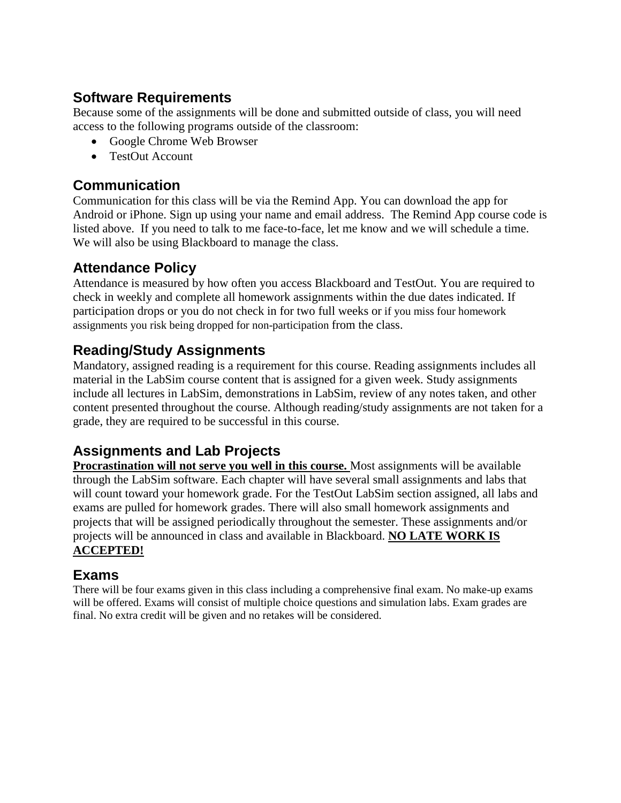#### **Software Requirements**

Because some of the assignments will be done and submitted outside of class, you will need access to the following programs outside of the classroom:

- Google Chrome Web Browser
- TestOut Account

#### **Communication**

Communication for this class will be via the Remind App. You can download the app for Android or iPhone. Sign up using your name and email address. The Remind App course code is listed above. If you need to talk to me face-to-face, let me know and we will schedule a time. We will also be using Blackboard to manage the class.

### **Attendance Policy**

Attendance is measured by how often you access Blackboard and TestOut. You are required to check in weekly and complete all homework assignments within the due dates indicated. If participation drops or you do not check in for two full weeks or if you miss four homework assignments you risk being dropped for non-participation from the class.

### **Reading/Study Assignments**

Mandatory, assigned reading is a requirement for this course. Reading assignments includes all material in the LabSim course content that is assigned for a given week. Study assignments include all lectures in LabSim, demonstrations in LabSim, review of any notes taken, and other content presented throughout the course. Although reading/study assignments are not taken for a grade, they are required to be successful in this course.

## **Assignments and Lab Projects**

**Procrastination will not serve you well in this course.** Most assignments will be available through the LabSim software. Each chapter will have several small assignments and labs that will count toward your homework grade. For the TestOut LabSim section assigned, all labs and exams are pulled for homework grades. There will also small homework assignments and projects that will be assigned periodically throughout the semester. These assignments and/or projects will be announced in class and available in Blackboard. **NO LATE WORK IS ACCEPTED!** 

#### **Exams**

There will be four exams given in this class including a comprehensive final exam. No make-up exams will be offered. Exams will consist of multiple choice questions and simulation labs. Exam grades are final. No extra credit will be given and no retakes will be considered.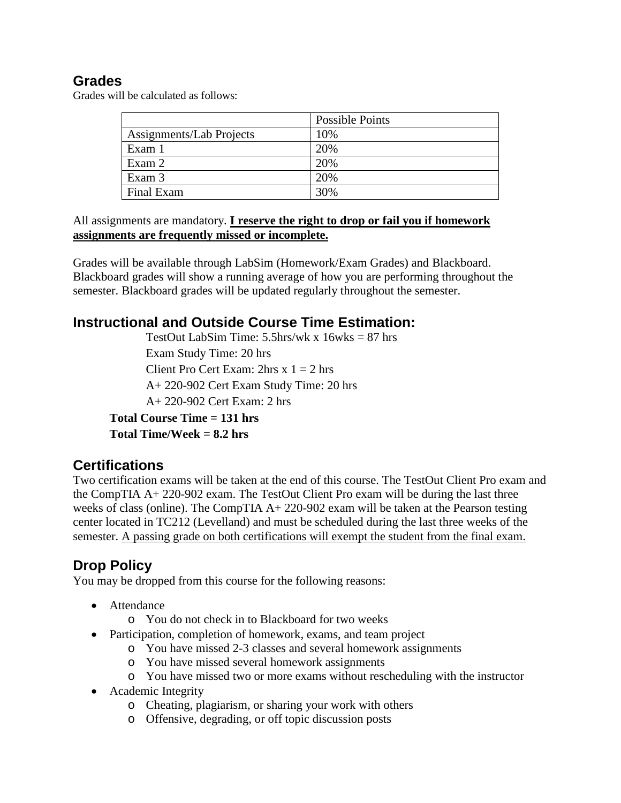#### **Grades**

Grades will be calculated as follows:

|                          | Possible Points |
|--------------------------|-----------------|
| Assignments/Lab Projects | 10%             |
| Exam 1                   | 20%             |
| Exam 2                   | 20%             |
| Exam 3                   | 20%             |
| Final Exam               | 30%             |

All assignments are mandatory. **I reserve the right to drop or fail you if homework assignments are frequently missed or incomplete.**

Grades will be available through LabSim (Homework/Exam Grades) and Blackboard. Blackboard grades will show a running average of how you are performing throughout the semester. Blackboard grades will be updated regularly throughout the semester.

#### **Instructional and Outside Course Time Estimation:**

TestOut LabSim Time:  $5.5$ hrs/wk x  $16$ wks = 87 hrs Exam Study Time: 20 hrs Client Pro Cert Exam:  $2hrs \times 1 = 2 hr$ A+ 220-902 Cert Exam Study Time: 20 hrs A+ 220-902 Cert Exam: 2 hrs

**Total Course Time = 131 hrs Total Time/Week = 8.2 hrs**

### **Certifications**

Two certification exams will be taken at the end of this course. The TestOut Client Pro exam and the CompTIA A+ 220-902 exam. The TestOut Client Pro exam will be during the last three weeks of class (online). The CompTIA  $A + 220-902$  exam will be taken at the Pearson testing center located in TC212 (Levelland) and must be scheduled during the last three weeks of the semester. A passing grade on both certifications will exempt the student from the final exam.

## **Drop Policy**

You may be dropped from this course for the following reasons:

- Attendance
	- o You do not check in to Blackboard for two weeks
- Participation, completion of homework, exams, and team project
	- o You have missed 2-3 classes and several homework assignments
	- o You have missed several homework assignments
	- o You have missed two or more exams without rescheduling with the instructor
- Academic Integrity
	- o Cheating, plagiarism, or sharing your work with others
	- o Offensive, degrading, or off topic discussion posts